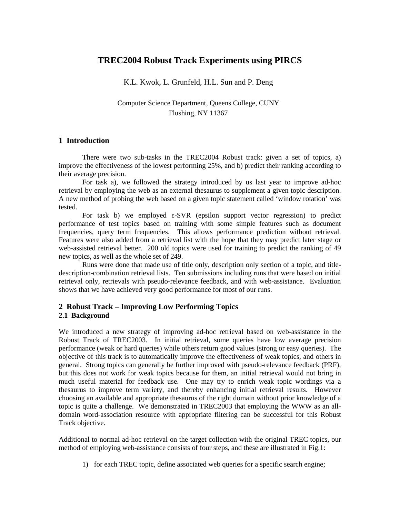# **TREC2004 Robust Track Experiments using PIRCS**

K.L. Kwok, L. Grunfeld, H.L. Sun and P. Deng

Computer Science Department, Queens College, CUNY Flushing, NY 11367

## **1 Introduction**

There were two sub-tasks in the TREC2004 Robust track: given a set of topics, a) improve the effectiveness of the lowest performing 25%, and b) predict their ranking according to their average precision.

For task a), we followed the strategy introduced by us last year to improve ad-hoc retrieval by employing the web as an external thesaurus to supplement a given topic description. A new method of probing the web based on a given topic statement called 'window rotation' was tested.

For task b) we employed  $\epsilon$ -SVR (epsilon support vector regression) to predict performance of test topics based on training with some simple features such as document frequencies, query term frequencies. This allows performance prediction without retrieval. Features were also added from a retrieval list with the hope that they may predict later stage or web-assisted retrieval better. 200 old topics were used for training to predict the ranking of 49 new topics, as well as the whole set of 249.

Runs were done that made use of title only, description only section of a topic, and titledescription-combination retrieval lists. Ten submissions including runs that were based on initial retrieval only, retrievals with pseudo-relevance feedback, and with web-assistance. Evaluation shows that we have achieved very good performance for most of our runs.

## **2 Robust Track – Improving Low Performing Topics 2.1 Background**

We introduced a new strategy of improving ad-hoc retrieval based on web-assistance in the Robust Track of TREC2003. In initial retrieval, some queries have low average precision performance (weak or hard queries) while others return good values (strong or easy queries). The objective of this track is to automatically improve the effectiveness of weak topics, and others in general. Strong topics can generally be further improved with pseudo-relevance feedback (PRF), but this does not work for weak topics because for them, an initial retrieval would not bring in much useful material for feedback use. One may try to enrich weak topic wordings via a thesaurus to improve term variety, and thereby enhancing initial retrieval results. However choosing an available and appropriate thesaurus of the right domain without prior knowledge of a topic is quite a challenge. We demonstrated in TREC2003 that employing the WWW as an alldomain word-association resource with appropriate filtering can be successful for this Robust Track objective.

Additional to normal ad-hoc retrieval on the target collection with the original TREC topics, our method of employing web-assistance consists of four steps, and these are illustrated in Fig.1:

1) for each TREC topic, define associated web queries for a specific search engine;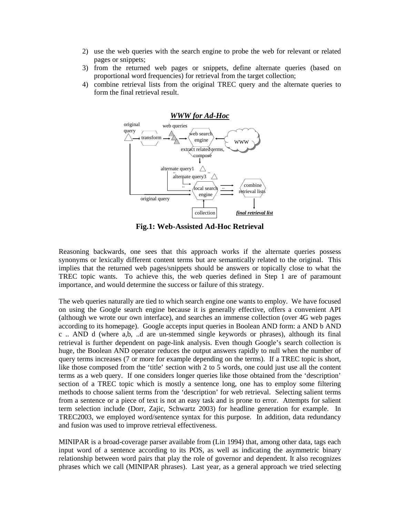- 2) use the web queries with the search engine to probe the web for relevant or related pages or snippets;
- 3) from the returned web pages or snippets, define alternate queries (based on proportional word frequencies) for retrieval from the target collection;
- 4) combine retrieval lists from the original TREC query and the alternate queries to form the final retrieval result.



**Fig.1: Web-Assisted Ad-Hoc Retrieval**

Reasoning backwards, one sees that this approach works if the alternate queries possess synonyms or lexically different content terms but are semantically related to the original. This implies that the returned web pages/snippets should be answers or topically close to what the TREC topic wants. To achieve this, the web queries defined in Step 1 are of paramount importance, and would determine the success or failure of this strategy.

The web queries naturally are tied to which search engine one wants to employ. We have focused on using the Google search engine because it is generally effective, offers a convenient API (although we wrote our own interface), and searches an immense collection (over 4G web pages according to its homepage). Google accepts input queries in Boolean AND form: a AND b AND c .. AND d (where a,b, ..d are un-stemmed single keywords or phrases), although its final retrieval is further dependent on page-link analysis. Even though Google's search collection is huge, the Boolean AND operator reduces the output answers rapidly to null when the number of query terms increases (7 or more for example depending on the terms). If a TREC topic is short, like those composed from the 'title' section with 2 to 5 words, one could just use all the content terms as a web query. If one considers longer queries like those obtained from the 'description' section of a TREC topic which is mostly a sentence long, one has to employ some filtering methods to choose salient terms from the 'description' for web retrieval. Selecting salient terms from a sentence or a piece of text is not an easy task and is prone to error. Attempts for salient term selection include (Dorr, Zajic, Schwartz 2003) for headline generation for example. In TREC2003, we employed word/sentence syntax for this purpose. In addition, data redundancy and fusion was used to improve retrieval effectiveness.

MINIPAR is a broad-coverage parser available from (Lin 1994) that, among other data, tags each input word of a sentence according to its POS, as well as indicating the asymmetric binary relationship between word pairs that play the role of governor and dependent. It also recognizes phrases which we call (MINIPAR phrases). Last year, as a general approach we tried selecting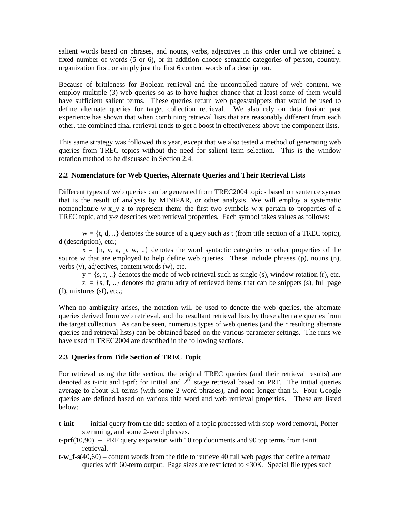salient words based on phrases, and nouns, verbs, adjectives in this order until we obtained a fixed number of words (5 or 6), or in addition choose semantic categories of person, country, organization first, or simply just the first 6 content words of a description.

Because of brittleness for Boolean retrieval and the uncontrolled nature of web content, we employ multiple (3) web queries so as to have higher chance that at least some of them would have sufficient salient terms. These queries return web pages/snippets that would be used to define alternate queries for target collection retrieval. We also rely on data fusion: past experience has shown that when combining retrieval lists that are reasonably different from each other, the combined final retrieval tends to get a boost in effectiveness above the component lists.

This same strategy was followed this year, except that we also tested a method of generating web queries from TREC topics without the need for salient term selection. This is the window rotation method to be discussed in Section 2.4.

### **2.2 Nomenclature for Web Queries, Alternate Queries and Their Retrieval Lists**

Different types of web queries can be generated from TREC2004 topics based on sentence syntax that is the result of analysis by MINIPAR, or other analysis. We will employ a systematic nomenclature w-x\_y-z to represent them: the first two symbols w-x pertain to properties of a TREC topic, and y-z describes web retrieval properties. Each symbol takes values as follows:

 $w = \{t, d, ...\}$  denotes the source of a query such as t (from title section of a TREC topic), d (description), etc.;

 $x = \{n, v, a, p, w, ... \}$  denotes the word syntactic categories or other properties of the source w that are employed to help define web queries. These include phrases (p), nouns (n), verbs (v), adjectives, content words (w), etc.

 $y = \{s, r, ...\}$  denotes the mode of web retrieval such as single (s), window rotation (r), etc.  $z = \{s, f, ...\}$  denotes the granularity of retrieved items that can be snippets (s), full page (f), mixtures (sf), etc.;

When no ambiguity arises, the notation will be used to denote the web queries, the alternate queries derived from web retrieval, and the resultant retrieval lists by these alternate queries from the target collection. As can be seen, numerous types of web queries (and their resulting alternate queries and retrieval lists) can be obtained based on the various parameter settings. The runs we have used in TREC2004 are described in the following sections.

# **2.3 Queries from Title Section of TREC Topic**

For retrieval using the title section, the original TREC queries (and their retrieval results) are denoted as t-init and t-prf: for initial and  $2<sup>nd</sup>$  stage retrieval based on PRF. The initial queries average to about 3.1 terms (with some 2-word phrases), and none longer than 5. Four Google queries are defined based on various title word and web retrieval properties. These are listed below:

- **t-init** -- initial query from the title section of a topic processed with stop-word removal, Porter stemming, and some 2-word phrases.
- **t-prf**(10,90)-- PRF query expansion with 10 top documents and 90 top terms from t-init retrieval.
- **t-w\_f-s**(40,60) content words from the title to retrieve 40 full web pages that define alternate queries with 60-term output. Page sizes are restricted to <30K. Special file types such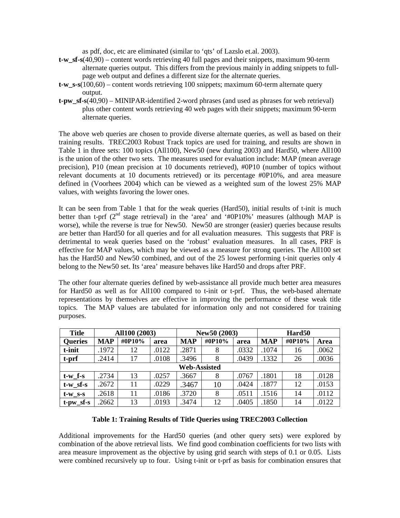as pdf, doc, etc are eliminated (similar to 'qts' of Lazslo et.al. 2003).

- **t-w\_sf-s**(40,90) content words retrieving 40 full pages and their snippets, maximum 90-term alternate queries output. This differs from the previous mainly in adding snippets to fullpage web output and defines a different size for the alternate queries.
- **t-w\_s-s**(100,60) content words retrieving 100 snippets; maximum 60-term alternate query output.
- **t-pw\_sf-s**(40,90) MINIPAR-identified 2-word phrases (and used as phrases for web retrieval) plus other content words retrieving 40 web pages with their snippets; maximum 90-term alternate queries.

The above web queries are chosen to provide diverse alternate queries, as well as based on their training results. TREC2003 Robust Track topics are used for training, and results are shown in Table 1 in three sets: 100 topics (All100), New50 (new during 2003) and Hard50, where All100 is the union of the other two sets. The measures used for evaluation include: MAP (mean average precision), P10 (mean precision at 10 documents retrieved), #0P10 (number of topics without relevant documents at 10 documents retrieved) or its percentage #0P10%, and area measure defined in (Voorhees 2004) which can be viewed as a weighted sum of the lowest 25% MAP values, with weights favoring the lower ones.

It can be seen from Table 1 that for the weak queries (Hard50), initial results of t-init is much better than t-prf  $(2^{nd}$  stage retrieval) in the 'area' and '#0P10%' measures (although MAP is worse), while the reverse is true for New50. New50 are stronger (easier) queries because results are better than Hard50 for all queries and for all evaluation measures. This suggests that PRF is detrimental to weak queries based on the 'robust' evaluation measures. In all cases, PRF is effective for MAP values, which may be viewed as a measure for strong queries. The All100 set has the Hard50 and New50 combined, and out of the 25 lowest performing t-init queries only 4 belong to the New50 set. Its 'area' measure behaves like Hard50 and drops after PRF.

The other four alternate queries defined by web-assistance all provide much better area measures for Hard50 as well as for All100 compared to t-init or t-prf. Thus, the web-based alternate representations by themselves are effective in improving the performance of these weak title topics. The MAP values are tabulated for information only and not considered for training purposes.

| <b>Title</b>        | All100 (2003) |        | New50 (2003) |            |        | Hard <sub>50</sub> |            |        |       |
|---------------------|---------------|--------|--------------|------------|--------|--------------------|------------|--------|-------|
| <b>Queries</b>      | <b>MAP</b>    | #0P10% | area         | <b>MAP</b> | #0P10% | area               | <b>MAP</b> | #0P10% | Area  |
| t-init              | .1972         | 12     | .0122        | .2871      | 8      | .0332              | .1074      | 16     | .0062 |
| t-prf               | .2414         | 17     | .0108        | .3496      | 8      | .0439              | .1332      | 26     | .0036 |
| <b>Web-Assisted</b> |               |        |              |            |        |                    |            |        |       |
| $t-w$ f-s           | .2734         | 13     | .0257        | .3667      | 8      | .0767              | .1801      | 18     | .0128 |
| $t-w_s f-s$         | .2672         | 11     | .0229        | .3467      | 10     | .0424              | .1877      | 12     | .0153 |
| $t-w$ s-s           | .2618         | 11     | .0186        | .3720      | 8      | .0511              | .1516      | 14     | .0112 |
| $t$ -pw_sf-s        | .2662         | 13     | .0193        | 3474       | 12     | .0405              | .1850      | 14     | .0122 |

### **Table 1: Training Results of Title Queries using TREC2003 Collection**

Additional improvements for the Hard50 queries (and other query sets) were explored by combination of the above retrieval lists. We find good combination coefficients for two lists with area measure improvement as the objective by using grid search with steps of 0.1 or 0.05. Lists were combined recursively up to four. Using t-init or t-prf as basis for combination ensures that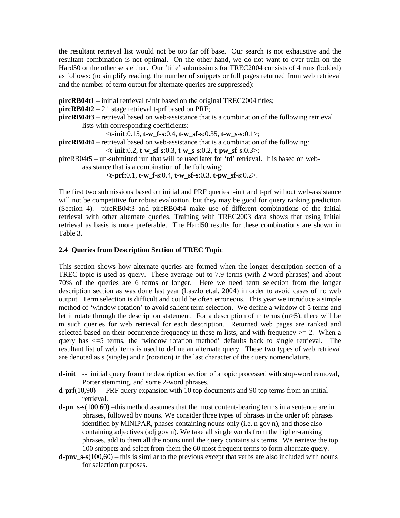the resultant retrieval list would not be too far off base. Our search is not exhaustive and the resultant combination is not optimal. On the other hand, we do not want to over-train on the Hard50 or the other sets either. Our 'title' submissions for TREC2004 consists of 4 runs (bolded) as follows: (to simplify reading, the number of snippets or full pages returned from web retrieval and the number of term output for alternate queries are suppressed):

**pircRB04t1** – initial retrieval t-init based on the original TREC2004 titles;

**pircRB04t2** –  $2<sup>nd</sup>$  stage retrieval t-prf based on PRF;

**pircRB04t3** – retrieval based on web-assistance that is a combination of the following retrieval lists with corresponding coefficients:

<**t-init**:0.15, **t-w\_f-s**:0.4, **t-w\_sf-s**:0.35, **t-w\_s-s**:0.1>;

```
pircRB04t4 – retrieval based on web-assistance that is a combination of the following:
```

```
<t-init:0.2, t-w_sf-s:0.3, t-w_s-s:0.2, t-pw_sf-s:0.3>;
```
pircRB04t5 – un-submitted run that will be used later for 'td' retrieval. It is based on webassistance that is a combination of the following:

<**t-prf**:0.1, **t-w\_f-s**:0.4, **t-w\_sf-s**:0.3, **t-pw\_sf-s**:0.2>.

The first two submissions based on initial and PRF queries t-init and t-prf without web-assistance will not be competitive for robust evaluation, but they may be good for query ranking prediction (Section 4). pircRB04t3 and pircRB04t4 make use of different combinations of the initial retrieval with other alternate queries. Training with TREC2003 data shows that using initial retrieval as basis is more preferable. The Hard50 results for these combinations are shown in Table 3.

# **2.4 Queries from Description Section of TREC Topic**

This section shows how alternate queries are formed when the longer description section of a TREC topic is used as query. These average out to 7.9 terms (with 2-word phrases) and about 70% of the queries are 6 terms or longer. Here we need term selection from the longer description section as was done last year (Laszlo et.al. 2004) in order to avoid cases of no web output. Term selection is difficult and could be often erroneous. This year we introduce a simple method of 'window rotation' to avoid salient term selection. We define a window of 5 terms and let it rotate through the description statement. For a description of m terms (m>5), there will be m such queries for web retrieval for each description. Returned web pages are ranked and selected based on their occurrence frequency in these m lists, and with frequency  $>= 2$ . When a query has <=5 terms, the 'window rotation method' defaults back to single retrieval. The resultant list of web items is used to define an alternate query. These two types of web retrieval are denoted as s (single) and r (rotation) in the last character of the query nomenclature.

- **d-init** -- initial query from the description section of a topic processed with stop-word removal, Porter stemming, and some 2-word phrases.
- **d-prf**(10,90)-- PRF query expansion with 10 top documents and 90 top terms from an initial retrieval.
- **d-pn\_s-s**(100,60) –this method assumes that the most content-bearing terms in a sentence are in phrases, followed by nouns. We consider three types of phrases in the order of: phrases identified by MINIPAR, phases containing nouns only (i.e. n gov n), and those also containing adjectives (adj gov n). We take all single words from the higher-ranking phrases, add to them all the nouns until the query contains six terms. We retrieve the top 100 snippets and select from them the 60 most frequent terms to form alternate query.
- **d-pnv\_s-s**(100,60) this is similar to the previous except that verbs are also included with nouns for selection purposes.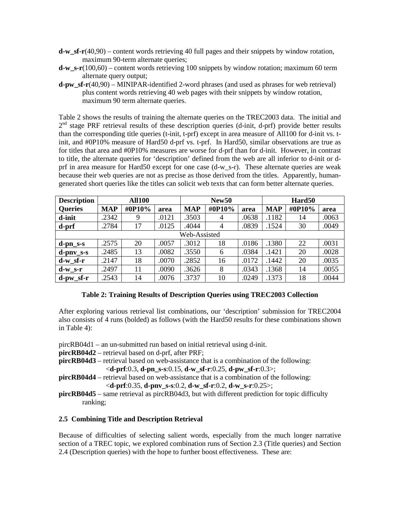- **d-w\_sf-r**(40,90) content words retrieving 40 full pages and their snippets by window rotation, maximum 90-term alternate queries;
- **d-w** s-r(100,60) content words retrieving 100 snippets by window rotation; maximum 60 term alternate query output;
- **d-pw\_sf-r**(40,90) MINIPAR-identified 2-word phrases (and used as phrases for web retrieval) plus content words retrieving 40 web pages with their snippets by window rotation, maximum 90 term alternate queries.

Table 2 shows the results of training the alternate queries on the TREC2003 data. The initial and  $2<sup>nd</sup>$  stage PRF retrieval results of these description queries (d-init, d-prf) provide better results than the corresponding title queries (t-init, t-prf) except in area measure of All100 for d-init vs. tinit, and #0P10% measure of Hard50 d-prf vs. t-prf. In Hard50, similar observations are true as for titles that area and #0P10% measures are worse for d-prf than for d-init. However, in contrast to title, the alternate queries for 'description' defined from the web are all inferior to d-init or dprf in area measure for Hard50 except for one case (d-w\_s-r). These alternate queries are weak because their web queries are not as precise as those derived from the titles. Apparently, humangenerated short queries like the titles can solicit web texts that can form better alternate queries.

| <b>Description</b> | <b>All100</b> |        |       | New <sub>50</sub> |                |       | Hard <sub>50</sub> |        |       |
|--------------------|---------------|--------|-------|-------------------|----------------|-------|--------------------|--------|-------|
| <b>Queries</b>     | <b>MAP</b>    | #0P10% | area  | <b>MAP</b>        | #0P10%         | area  | <b>MAP</b>         | #0P10% | area  |
| d-init             | .2342         | 9      | .0121 | .3503             | $\overline{4}$ | .0638 | .1182              | 14     | .0063 |
| d-prf              | .2784         | 17     | .0125 | .4044             | $\overline{4}$ | .0839 | .1524              | 30     | .0049 |
|                    | Web-Assisted  |        |       |                   |                |       |                    |        |       |
| $d$ -pn_s-s        | .2575         | 20     | .0057 | .3012             | 18             | .0186 | .1380              | 22     | .0031 |
| $d$ -pnv_s-s       | .2485         | 13     | .0082 | .3550             | 6              | .0384 | .1421              | 20     | .0028 |
| $d-w$ sf-r         | .2147         | 18     | .0070 | .2852             | 16             | .0172 | .1442              | 20     | .0035 |
| $d-w$ s-r          | .2497         | 11     | .0090 | .3626             | 8              | .0343 | .1368              | 14     | .0055 |
| $d$ -pw sf-r       | .2543         | 14     | .0076 | .3737             | 10             | .0249 | .1373              | 18     | .0044 |

## **Table 2: Training Results of Description Queries using TREC2003 Collection**

After exploring various retrieval list combinations, our 'description' submission for TREC2004 also consists of 4 runs (bolded) as follows (with the Hard50 results for these combinations shown in Table 4):

pircRB04d1 – an un-submitted run based on initial retrieval using d-init.

**pircRB04d2** – retrieval based on d-prf, after PRF;

- **pircRB04d3** retrieval based on web-assistance that is a combination of the following: <**d-prf**:0.3, **d-pn\_s-s**:0.15, **d-w\_sf-r**:0.25, **d-pw\_sf-r**:0.3>;
- **pircRB04d4** retrieval based on web-assistance that is a combination of the following: <**d-prf**:0.35, **d-pnv\_s-s**:0.2, **d-w\_sf-r**:0.2, **d-w\_s-r**:0.25>;
- **pircRB04d5** same retrieval as pircRB04d3, but with different prediction for topic difficulty ranking;

# **2.5 Combining Title and Description Retrieval**

Because of difficulties of selecting salient words, especially from the much longer narrative section of a TREC topic, we explored combination runs of Section 2.3 (Title queries) and Section 2.4 (Description queries) with the hope to further boost effectiveness. These are: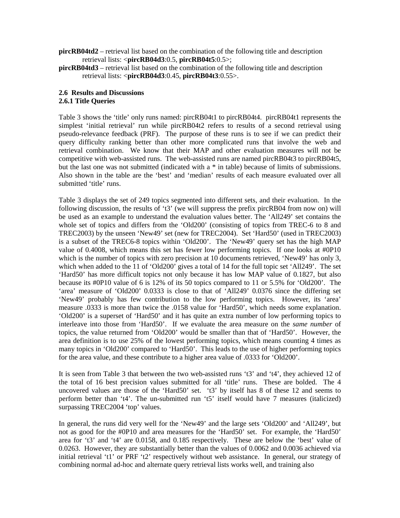- **pircRB04td2** retrieval list based on the combination of the following title and description retrieval lists: <**pircRB04d3**:0.5, **pircRB04t5**:0.5>;
- **pircRB04td3** retrieval list based on the combination of the following title and description retrieval lists: <**pircRB04d3**:0.45, **pircRB04t3**:0.55>.

### **2.6 Results and Discussions 2.6.1 Title Queries**

Table 3 shows the 'title' only runs named: pircRB04t1 to pircRB04t4. pircRB04t1 represents the simplest 'initial retrieval' run while pircRB04t2 refers to results of a second retrieval using pseudo-relevance feedback (PRF). The purpose of these runs is to see if we can predict their query difficulty ranking better than other more complicated runs that involve the web and retrieval combination. We know that their MAP and other evaluation measures will not be competitive with web-assisted runs. The web-assisted runs are named pircRB04t3 to pircRB04t5, but the last one was not submitted (indicated with a \* in table) because of limits of submissions. Also shown in the table are the 'best' and 'median' results of each measure evaluated over all submitted 'title' runs.

Table 3 displays the set of 249 topics segmented into different sets, and their evaluation. In the following discussion, the results of 't3' (we will suppress the prefix pircRB04 from now on) will be used as an example to understand the evaluation values better. The 'All249' set contains the whole set of topics and differs from the 'Old200' (consisting of topics from TREC-6 to 8 and TREC2003) by the unseen 'New49' set (new for TREC2004). Set 'Hard50' (used in TREC2003) is a subset of the TREC6-8 topics within 'Old200'. The 'New49' query set has the high MAP value of 0.4008, which means this set has fewer low performing topics. If one looks at #0P10 which is the number of topics with zero precision at 10 documents retrieved, 'New49' has only 3, which when added to the 11 of 'Old200' gives a total of 14 for the full topic set 'All249'. The set 'Hard50' has more difficult topics not only because it has low MAP value of 0.1827, but also because its #0P10 value of 6 is 12% of its 50 topics compared to 11 or 5.5% for 'Old200'. The 'area' measure of 'Old200' 0.0333 is close to that of 'All249' 0.0376 since the differing set 'New49' probably has few contribution to the low performing topics. However, its 'area' measure .0333 is more than twice the .0158 value for 'Hard50', which needs some explanation. 'Old200' is a superset of 'Hard50' and it has quite an extra number of low performing topics to interleave into those from 'Hard50'. If we evaluate the area measure on the *same number* of topics, the value returned from 'Old200' would be smaller than that of 'Hard50'. However, the area definition is to use 25% of the lowest performing topics, which means counting 4 times as many topics in 'Old200' compared to 'Hard50'. This leads to the use of higher performing topics for the area value, and these contribute to a higher area value of .0333 for 'Old200'.

It is seen from Table 3 that between the two web-assisted runs 't3' and 't4', they achieved 12 of the total of 16 best precision values submitted for all 'title' runs. These are bolded. The 4 uncovered values are those of the 'Hard50' set. 't3' by itself has 8 of these 12 and seems to perform better than 't4'. The un-submitted run 't5' itself would have 7 measures (italicized) surpassing TREC2004 'top' values.

In general, the runs did very well for the 'New49' and the large sets 'Old200' and 'All249', but not as good for the #0P10 and area measures for the 'Hard50' set. For example, the 'Hard50' area for 't3' and 't4' are 0.0158, and 0.185 respectively. These are below the 'best' value of 0.0263. However, they are substantially better than the values of 0.0062 and 0.0036 achieved via initial retrieval 't1' or PRF 't2' respectively without web assistance. In general, our strategy of combining normal ad-hoc and alternate query retrieval lists works well, and training also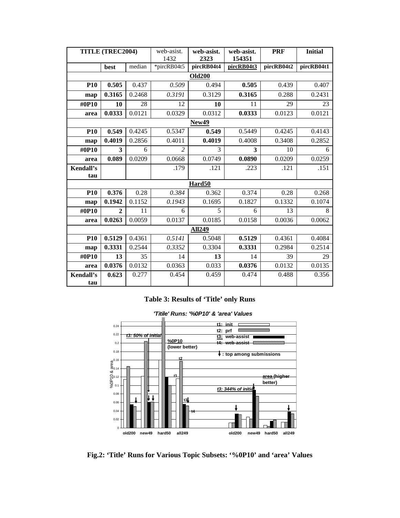| TITLE (TREC2004) |              | web-asist. | web-asist.     | web-asist.    | <b>PRF</b> | <b>Initial</b> |            |  |  |
|------------------|--------------|------------|----------------|---------------|------------|----------------|------------|--|--|
|                  |              |            | 1432           | 2323          | 154351     |                |            |  |  |
|                  | best         | median     | *pircRB04t5    | pircRB04t4    | pircRB04t3 | pircRB04t2     | pircRB04t1 |  |  |
| <b>Old200</b>    |              |            |                |               |            |                |            |  |  |
| <b>P10</b>       | 0.505        | 0.437      | 0.509          | 0.494         | 0.505      | 0.439          | 0.407      |  |  |
| map              | 0.3165       | 0.2468     | 0.3191         | 0.3129        | 0.3165     | 0.288          | 0.2431     |  |  |
| #0P10            | 10           | 28         | 12             | 10            | 11         | 29             | 23         |  |  |
| area             | 0.0333       | 0.0121     | 0.0329         | 0.0312        | 0.0333     | 0.0123         | 0.0121     |  |  |
|                  |              |            |                | New49         |            |                |            |  |  |
| <b>P10</b>       | 0.549        | 0.4245     | 0.5347         | 0.549         | 0.5449     | 0.4245         | 0.4143     |  |  |
| map              | 0.4019       | 0.2856     | 0.4011         | 0.4019        | 0.4008     | 0.3408         | 0.2852     |  |  |
| #0P10            | 3            | 6          | $\overline{2}$ | 3             | 3          | 10             | 6          |  |  |
| area             | 0.089        | 0.0209     | 0.0668         | 0.0749        | 0.0890     | 0.0209         | 0.0259     |  |  |
| Kendall's        |              |            | .179           | .121          | .223       | .121           | .151       |  |  |
| tau              |              |            |                |               |            |                |            |  |  |
|                  |              |            |                | Hard50        |            |                |            |  |  |
| <b>P10</b>       | 0.376        | 0.28       | 0.384          | 0.362         | 0.374      | 0.28           | 0.268      |  |  |
| map              | 0.1942       | 0.1152     | 0.1943         | 0.1695        | 0.1827     | 0.1332         | 0.1074     |  |  |
| #0P10            | $\mathbf{2}$ | 11         | 6              | 5             | 6          | 13             | 8          |  |  |
| area             | 0.0263       | 0.0059     | 0.0137         | 0.0185        | 0.0158     | 0.0036         | 0.0062     |  |  |
|                  |              |            |                | <b>All249</b> |            |                |            |  |  |
| <b>P10</b>       | 0.5129       | 0.4361     | 0.5141         | 0.5048        | 0.5129     | 0.4361         | 0.4084     |  |  |
| map              | 0.3331       | 0.2544     | 0.3352         | 0.3304        | 0.3331     | 0.2984         | 0.2514     |  |  |
| #0P10            | 13           | 35         | 14             | 13            | 14         | 39             | 29         |  |  |
| area             | 0.0376       | 0.0132     | 0.0363         | 0.033         | 0.0376     | 0.0132         | 0.0135     |  |  |
| Kendall's        | 0.623        | 0.277      | 0.454          | 0.459         | 0.474      | 0.488          | 0.356      |  |  |
| tau              |              |            |                |               |            |                |            |  |  |

# **Table 3: Results of 'Title' only Runs**

**'Titile' Runs: '%0P10' & 'area' Values**



**Fig.2: 'Title' Runs for Various Topic Subsets: '%0P10' and 'area' Values**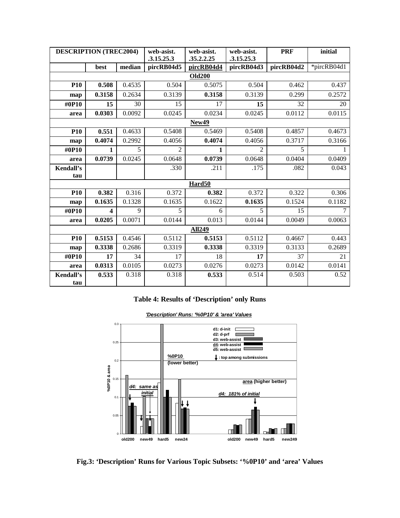| <b>DESCRIPTION (TREC2004)</b> |        | web-asist. | web-asist. | web-asist.    | <b>PRF</b> | initial    |             |  |
|-------------------------------|--------|------------|------------|---------------|------------|------------|-------------|--|
|                               |        |            | .3.15.25.3 | .35.2.2.25    | .3.15.25.3 |            |             |  |
|                               | best   | median     | pircRB04d5 | pircRB04d4    | pircRB04d3 | pircRB04d2 | *pircRB04d1 |  |
| <b>Old200</b>                 |        |            |            |               |            |            |             |  |
| <b>P10</b>                    | 0.508  | 0.4535     | 0.504      | 0.5075        | 0.504      | 0.462      | 0.437       |  |
| map                           | 0.3158 | 0.2634     | 0.3139     | 0.3158        | 0.3139     | 0.299      | 0.2572      |  |
| #0P10                         | 15     | 30         | 15         | 17            | 15         | 32         | 20          |  |
| area                          | 0.0303 | 0.0092     | 0.0245     | 0.0234        | 0.0245     | 0.0112     | 0.0115      |  |
|                               |        |            |            | New49         |            |            |             |  |
| <b>P10</b>                    | 0.551  | 0.4633     | 0.5408     | 0.5469        | 0.5408     | 0.4857     | 0.4673      |  |
| map                           | 0.4074 | 0.2992     | 0.4056     | 0.4074        | 0.4056     | 0.3717     | 0.3166      |  |
| #0P10                         | 1      | 5          | 2          | 1             | 2          | 5          |             |  |
| area                          | 0.0739 | 0.0245     | 0.0648     | 0.0739        | 0.0648     | 0.0404     | 0.0409      |  |
| Kendall's                     |        |            | .330       | .211          | .175       | .082       | 0.043       |  |
| tau                           |        |            |            |               |            |            |             |  |
|                               |        |            |            | Hard50        |            |            |             |  |
| <b>P10</b>                    | 0.382  | 0.316      | 0.372      | 0.382         | 0.372      | 0.322      | 0.306       |  |
| map                           | 0.1635 | 0.1328     | 0.1635     | 0.1622        | 0.1635     | 0.1524     | 0.1182      |  |
| #0P10                         | 4      | 9          | 5          | 6             | 5          | 15         | 7           |  |
| area                          | 0.0205 | 0.0071     | 0.0144     | 0.013         | 0.0144     | 0.0049     | 0.0063      |  |
|                               |        |            |            | <b>All249</b> |            |            |             |  |
| <b>P10</b>                    | 0.5153 | 0.4546     | 0.5112     | 0.5153        | 0.5112     | 0.4667     | 0.443       |  |
| map                           | 0.3338 | 0.2686     | 0.3319     | 0.3338        | 0.3319     | 0.3133     | 0.2689      |  |
| #0P10                         | 17     | 34         | 17         | 18            | 17         | 37         | 21          |  |
| area                          | 0.0313 | 0.0105     | 0.0273     | 0.0276        | 0.0273     | 0.0142     | 0.0141      |  |
| Kendall's                     | 0.533  | 0.318      | 0.318      | 0.533         | 0.514      | 0.503      | 0.52        |  |
| tau                           |        |            |            |               |            |            |             |  |

# **Table 4: Results of 'Description' only Runs**



**'Description' Runs: '%0P10' & 'area' Values**

**Fig.3: 'Description' Runs for Various Topic Subsets: '%0P10' and 'area' Values**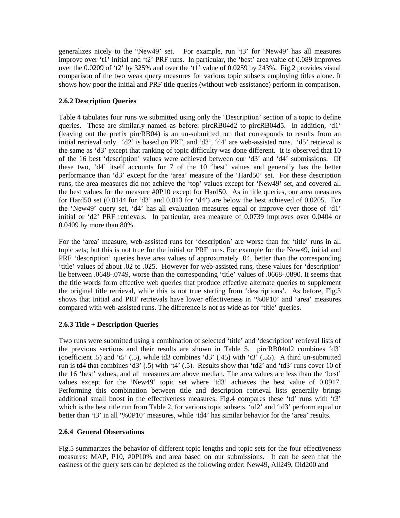generalizes nicely to the "New49' set. For example, run 't3' for 'New49' has all measures improve over 't1' initial and 't2' PRF runs. In particular, the 'best' area value of 0.089 improves over the 0.0209 of 't2' by 325% and over the 't1' value of 0.0259 by 243%. Fig.2 provides visual comparison of the two weak query measures for various topic subsets employing titles alone. It shows how poor the initial and PRF title queries (without web-assistance) perform in comparison.

# **2.6.2 Description Queries**

Table 4 tabulates four runs we submitted using only the 'Description' section of a topic to define queries. These are similarly named as before: pircRB04d2 to pircRB04d5. In addition, 'd1' (leaving out the prefix pircRB04) is an un-submitted run that corresponds to results from an initial retrieval only. 'd2' is based on PRF, and 'd3', 'd4' are web-assisted runs. 'd5' retrieval is the same as 'd3' except that ranking of topic difficulty was done different. It is observed that 10 of the 16 best 'description' values were achieved between our 'd3' and 'd4' submissions. Of these two, 'd4' itself accounts for 7 of the 10 'best' values and generally has the better performance than 'd3' except for the 'area' measure of the 'Hard50' set. For these description runs, the area measures did not achieve the 'top' values except for 'New49' set, and covered all the best values for the measure #0P10 except for Hard50. As in title queries, our area measures for Hard50 set (0.0144 for 'd3' and 0.013 for 'd4') are below the best achieved of 0.0205. For the 'New49' query set, 'd4' has all evaluation measures equal or improve over those of 'd1' initial or 'd2' PRF retrievals. In particular, area measure of 0.0739 improves over 0.0404 or 0.0409 by more than 80%.

For the 'area' measure, web-assisted runs for 'description' are worse than for 'title' runs in all topic sets; but this is not true for the initial or PRF runs. For example for the New49, initial and PRF 'description' queries have area values of approximately .04, better than the corresponding 'title' values of about .02 to .025. However for web-assisted runs, these values for 'description' lie between .0648-.0749, worse than the corresponding 'title' values of .0668-.0890. It seems that the title words form effective web queries that produce effective alternate queries to supplement the original title retrieval, while this is not true starting from 'descriptions'. As before, Fig.3 shows that initial and PRF retrievals have lower effectiveness in '%0P10' and 'area' measures compared with web-assisted runs. The difference is not as wide as for 'title' queries.

# **2.6.3 Title + Description Queries**

Two runs were submitted using a combination of selected 'title' and 'description' retrieval lists of the previous sections and their results are shown in Table 5. pircRB04td2 combines 'd3' (coefficient  $.5$ ) and 't5'  $(.5)$ , while td3 combines 'd3'  $(.45)$  with 't3'  $(.55)$ . A third un-submitted run is td4 that combines 'd3' (.5) with 't4' (.5). Results show that 'td2' and 'td3' runs cover 10 of the 16 'best' values, and all measures are above median. The area values are less than the 'best' values except for the 'New49' topic set where 'td3' achieves the best value of 0.0917. Performing this combination between title and description retrieval lists generally brings additional small boost in the effectiveness measures. Fig.4 compares these 'td' runs with 't3' which is the best title run from Table 2, for various topic subsets. 'td2' and 'td3' perform equal or better than 't3' in all '%0P10' measures, while 'td4' has similar behavior for the 'area' results.

# **2.6.4 General Observations**

Fig.5 summarizes the behavior of different topic lengths and topic sets for the four effectiveness measures: MAP, P10, #0P10% and area based on our submissions. It can be seen that the easiness of the query sets can be depicted as the following order: New49, All249, Old200 and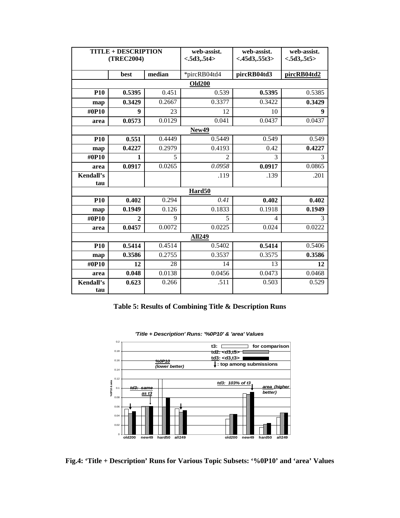| <b>TITLE + DESCRIPTION</b><br>(TREC2004) |                |        | web-assist.<br>< .5d3, .5t4> | web-assist.<br>< .45d3, .55t3> | web-assist.<br>< .5d3, .5t5> |  |  |  |  |
|------------------------------------------|----------------|--------|------------------------------|--------------------------------|------------------------------|--|--|--|--|
|                                          | best           | median | *pircRB04td4                 | pircRB04td3                    | pircRB04td2                  |  |  |  |  |
| <b>Old200</b>                            |                |        |                              |                                |                              |  |  |  |  |
| <b>P10</b>                               | 0.5395         | 0.451  | 0.539                        | 0.5395                         | 0.5385                       |  |  |  |  |
| map                                      | 0.3429         | 0.2667 | 0.3377                       | 0.3422                         | 0.3429                       |  |  |  |  |
| #0P10                                    | 9              | 23     | 12                           | 10                             | 9                            |  |  |  |  |
| area                                     | 0.0573         | 0.0129 | 0.041                        | 0.0437                         | 0.0437                       |  |  |  |  |
|                                          |                |        | New49                        |                                |                              |  |  |  |  |
| <b>P10</b>                               | 0.551          | 0.4449 | 0.5449                       | 0.549                          | 0.549                        |  |  |  |  |
| map                                      | 0.4227         | 0.2979 | 0.4193                       | 0.42                           | 0.4227                       |  |  |  |  |
| #0P10                                    | 1              | 5      | $\overline{2}$               | 3                              | 3                            |  |  |  |  |
| area                                     | 0.0917         | 0.0265 | 0.0958                       | 0.0917                         | 0.0865                       |  |  |  |  |
| Kendall's<br>tau                         |                |        | .119                         | .139                           | .201                         |  |  |  |  |
|                                          |                |        | Hard <sub>50</sub>           |                                |                              |  |  |  |  |
| <b>P10</b>                               | 0.402          | 0.294  | 0.41                         | 0.402                          | 0.402                        |  |  |  |  |
| map                                      | 0.1949         | 0.126  | 0.1833                       | 0.1918                         | 0.1949                       |  |  |  |  |
| #0P10                                    | $\overline{2}$ | 9      | 5                            | $\overline{4}$                 | 3                            |  |  |  |  |
| area                                     | 0.0457         | 0.0072 | 0.0225                       | 0.024                          | 0.0222                       |  |  |  |  |
|                                          |                |        | <b>All249</b>                |                                |                              |  |  |  |  |
| <b>P10</b>                               | 0.5414         | 0.4514 | 0.5402                       | 0.5414                         | 0.5406                       |  |  |  |  |
| map                                      | 0.3586         | 0.2755 | 0.3537                       | 0.3575                         | 0.3586                       |  |  |  |  |
| #0P10                                    | 12             | 28     | 14                           | 13                             | 12                           |  |  |  |  |
| area                                     | 0.048          | 0.0138 | 0.0456                       | 0.0473                         | 0.0468                       |  |  |  |  |
| Kendall's<br>tau                         | 0.623          | 0.266  | .511                         | 0.503                          | 0.529                        |  |  |  |  |

# **Table 5: Results of Combining Title & Description Runs**



**'Title + Description' Runs: '%0P10' & 'area' Values** 

**Fig.4: 'Title + Description' Runs for Various Topic Subsets: '%0P10' and 'area' Values**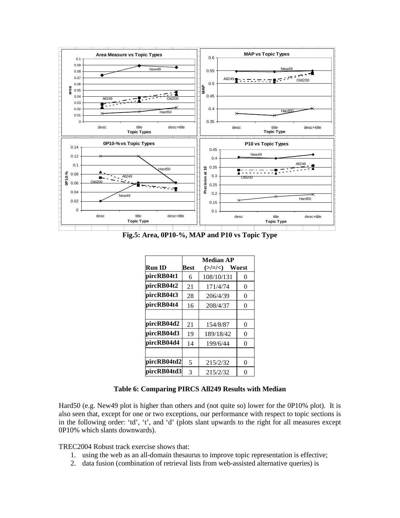

**Fig.5: Area, 0P10-%, MAP and P10 vs Topic Type** 

|               | <b>Median AP</b> |                         |   |  |  |  |  |
|---------------|------------------|-------------------------|---|--|--|--|--|
| <b>Run ID</b> | Best             | $(\geq/\geq/\lt)$ Worst |   |  |  |  |  |
| pircRB04t1    | 6                | 108/10/131              | 0 |  |  |  |  |
| pircRB04t2    | 21               | 171/4/74                | 0 |  |  |  |  |
| pircRB04t3    | 28               | 206/4/39                | 0 |  |  |  |  |
| pircRB04t4    | 16               | 208/4/37                | 0 |  |  |  |  |
|               |                  |                         |   |  |  |  |  |
| pircRB04d2    | 21               | 154/8/87                | 0 |  |  |  |  |
| pircRB04d3    | 19               | 189/18/42               | 0 |  |  |  |  |
| pircRB04d4    | 14               | 199/6/44                | 0 |  |  |  |  |
|               |                  |                         |   |  |  |  |  |
| pircRB04td2   | 5                | 215/2/32                | 0 |  |  |  |  |
| pircRB04td3   | 3                | 215/2/32                | 0 |  |  |  |  |

### **Table 6: Comparing PIRCS All249 Results with Median**

Hard50 (e.g. New49 plot is higher than others and (not quite so) lower for the 0P10% plot). It is also seen that, except for one or two exceptions, our performance with respect to topic sections is in the following order: 'td', 't', and 'd' (plots slant upwards to the right for all measures except 0P10% which slants downwards).

TREC2004 Robust track exercise shows that:

- 1. using the web as an all-domain thesaurus to improve topic representation is effective;
- 2. data fusion (combination of retrieval lists from web-assisted alternative queries) is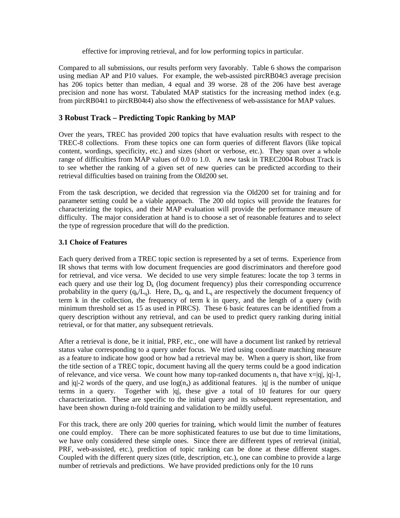effective for improving retrieval, and for low performing topics in particular.

Compared to all submissions, our results perform very favorably. Table 6 shows the comparison using median AP and P10 values. For example, the web-assisted pircRB04t3 average precision has 206 topics better than median, 4 equal and 39 worse. 28 of the 206 have best average precision and none has worst. Tabulated MAP statistics for the increasing method index (e.g. from pircRB04t1 to pircRB04t4) also show the effectiveness of web-assistance for MAP values.

# **3 Robust Track – Predicting Topic Ranking by MAP**

Over the years, TREC has provided 200 topics that have evaluation results with respect to the TREC-8 collections. From these topics one can form queries of different flavors (like topical content, wordings, specificity, etc.) and sizes (short or verbose, etc.). They span over a whole range of difficulties from MAP values of 0.0 to 1.0. A new task in TREC2004 Robust Track is to see whether the ranking of a given set of new queries can be predicted according to their retrieval difficulties based on training from the Old200 set.

From the task description, we decided that regression via the Old200 set for training and for parameter setting could be a viable approach. The 200 old topics will provide the features for characterizing the topics, and their MAP evaluation will provide the performance measure of difficulty. The major consideration at hand is to choose a set of reasonable features and to select the type of regression procedure that will do the prediction.

## **3.1 Choice of Features**

Each query derived from a TREC topic section is represented by a set of terms. Experience from IR shows that terms with low document frequencies are good discriminators and therefore good for retrieval, and vice versa. We decided to use very simple features: locate the top 3 terms in each query and use their  $\log D_k$  (log document frequency) plus their corresponding occurrence probability in the query  $(q_k/L_q)$ . Here,  $D_k$ ,  $q_k$  and  $L_q$  are respectively the document frequency of term k in the collection, the frequency of term k in query, and the length of a query (with minimum threshold set as 15 as used in PIRCS). These 6 basic features can be identified from a query description without any retrieval, and can be used to predict query ranking during initial retrieval, or for that matter, any subsequent retrievals.

After a retrieval is done, be it initial, PRF, etc., one will have a document list ranked by retrieval status value corresponding to a query under focus. We tried using coordinate matching measure as a feature to indicate how good or how bad a retrieval may be. When a query is short, like from the title section of a TREC topic, document having all the query terms could be a good indication of relevance, and vice versa. We count how many top-ranked documents  $n_x$  that have  $x=|q|, |q|-1$ , and  $|q|-2$  words of the query, and use  $log(n_x)$  as additional features.  $|q|$  is the number of unique terms in a query. Together with |q|, these give a total of 10 features for our query characterization. These are specific to the initial query and its subsequent representation, and have been shown during n-fold training and validation to be mildly useful.

For this track, there are only 200 queries for training, which would limit the number of features one could employ. There can be more sophisticated features to use but due to time limitations, we have only considered these simple ones. Since there are different types of retrieval (initial, PRF, web-assisted, etc.), prediction of topic ranking can be done at these different stages. Coupled with the different query sizes (title, description, etc.), one can combine to provide a large number of retrievals and predictions. We have provided predictions only for the 10 runs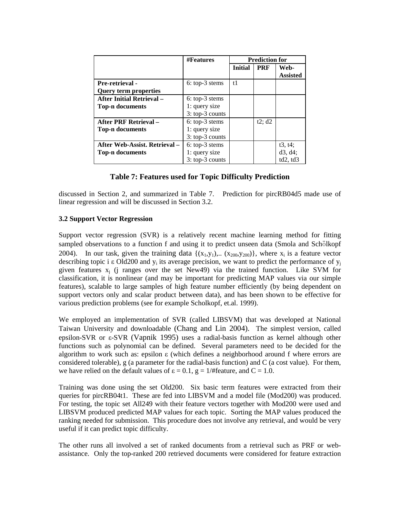|                                  | <b>#Features</b> | <b>Prediction for</b> |            |                         |
|----------------------------------|------------------|-----------------------|------------|-------------------------|
|                                  |                  | <b>Initial</b>        | <b>PRF</b> | Web-<br><b>Assisted</b> |
| <b>Pre-retrieval -</b>           | $6:top-3$ stems  | t1                    |            |                         |
| <b>Query term properties</b>     |                  |                       |            |                         |
| <b>After Initial Retrieval -</b> | $6:top-3$ stems  |                       |            |                         |
| <b>Top-n documents</b>           | 1: query size    |                       |            |                         |
|                                  | $3:top-3$ counts |                       |            |                         |
| <b>After PRF Retrieval -</b>     | 6: top-3 stems   |                       | t2; d2     |                         |
| <b>Top-n documents</b>           | 1: query size    |                       |            |                         |
|                                  | $3:top-3$ counts |                       |            |                         |
| After Web-Assist. Retrieval -    | 6: top-3 stems   |                       |            | t3, t4;                 |
| <b>Top-n documents</b>           | 1: query size    |                       |            | d3, d4;                 |
|                                  | 3: top-3 counts  |                       |            | td2,td3                 |

## **Table 7: Features used for Topic Difficulty Prediction**

discussed in Section 2, and summarized in Table 7. Prediction for pircRB04d5 made use of linear regression and will be discussed in Section 3.2.

#### **3.2 Support Vector Regression**

Support vector regression (SVR) is a relatively recent machine learning method for fitting sampled observations to a function f and using it to predict unseen data (Smola and Schölkopf 2004). In our task, given the training data  $\{(x_1,y_1),... (x_{200},y_{200})\}$ , where  $x_i$  is a feature vector describing topic i ε Old200 and  $y_i$  its average precision, we want to predict the performance of  $y_i$ given features  $x_i$  (j ranges over the set New49) via the trained function. Like SVM for classification, it is nonlinear (and may be important for predicting MAP values via our simple features), scalable to large samples of high feature number efficiently (by being dependent on support vectors only and scalar product between data), and has been shown to be effective for various prediction problems (see for example Scholkopf, et.al. 1999).

We employed an implementation of SVR (called LIBSVM) that was developed at National Taiwan University and downloadable (Chang and Lin 2004). The simplest version, called epsilon-SVR or ε-SVR (Vapnik 1995) uses a radial-basis function as kernel although other functions such as polynomial can be defined. Several parameters need to be decided for the algorithm to work such as: epsilon ε (which defines a neighborhood around f where errors are considered tolerable), g (a parameter for the radial-basis function) and C (a cost value). For them, we have relied on the default values of  $\varepsilon = 0.1$ ,  $g = 1$ /#feature, and C = 1.0.

Training was done using the set Old200. Six basic term features were extracted from their queries for pircRB04t1. These are fed into LIBSVM and a model file (Mod200) was produced. For testing, the topic set All249 with their feature vectors together with Mod200 were used and LIBSVM produced predicted MAP values for each topic. Sorting the MAP values produced the ranking needed for submission. This procedure does not involve any retrieval, and would be very useful if it can predict topic difficulty.

The other runs all involved a set of ranked documents from a retrieval such as PRF or webassistance. Only the top-ranked 200 retrieved documents were considered for feature extraction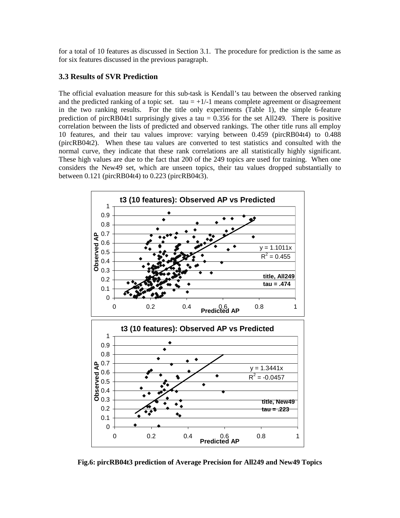for a total of 10 features as discussed in Section 3.1. The procedure for prediction is the same as for six features discussed in the previous paragraph.

# **3.3 Results of SVR Prediction**

The official evaluation measure for this sub-task is Kendall's tau between the observed ranking and the predicted ranking of a topic set. tau  $= +1/-1$  means complete agreement or disagreement in the two ranking results. For the title only experiments (Table 1), the simple 6-feature prediction of pircRB04t1 surprisingly gives a tau  $= 0.356$  for the set All249. There is positive correlation between the lists of predicted and observed rankings. The other title runs all employ 10 features, and their tau values improve: varying between 0.459 (pircRB04t4) to 0.488 (pircRB04t2). When these tau values are converted to test statistics and consulted with the normal curve, they indicate that these rank correlations are all statistically highly significant. These high values are due to the fact that 200 of the 249 topics are used for training. When one considers the New49 set, which are unseen topics, their tau values dropped substantially to between 0.121 (pircRB04t4) to 0.223 (pircRB04t3).



**Fig.6: pircRB04t3 prediction of Average Precision for All249 and New49 Topics**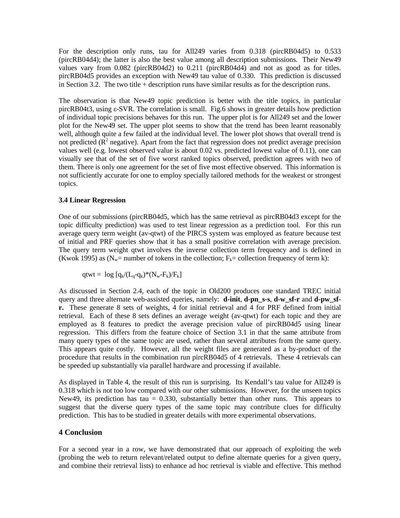For the description only runs, tau for All249 varies from 0.318 (pircRB04d5) to 0.533 (pircRB04d4); the latter is also the best value among all description submissions. Their New49 values vary from 0.082 (pircRB04d2) to 0.211 (pircRB04d4) and not as good as for titles. pircRB04d5 provides an exception with New49 tau value of 0.330. This prediction is discussed in Section 3.2. The two title  $+$  description runs have similar results as for the description runs.

The observation is that New49 topic prediction is better with the title topics, in particular pircRB04t3, using ε-SVR. The correlation is small. Fig.6 shows in greater details how prediction of individual topic precisions behaves for this run. The upper plot is for All249 set and the lower plot for the New49 set. The upper plot seems to show that the trend has been learnt reasonably well, although quite a few failed at the individual level. The lower plot shows that overall trend is not predicted  $(R^2$  negative). Apart from the fact that regression does not predict average precision values well (e.g. lowest observed value is about 0.02 vs. predicted lowest value of 0.11), one can visually see that of the set of five worst ranked topics observed, prediction agrees with two of them. There is only one agreement for the set of five most effective observed. This information is not sufficiently accurate for one to employ specially tailored methods for the weakest or strongest topics.

#### **3.4 Linear Regression**

One of our submissions (pircRB04d5, which has the same retrieval as pircRB04d3 except for the topic difficulty prediction) was used to test linear regression as a prediction tool. For this run average query term weight (av-qtwt) of the PIRCS system was employed as feature because test of initial and PRF queries show that it has a small positive correlation with average precision. The query term weight qtwt involves the inverse collection term frequency and is defined in (Kwok 1995) as (N<sub>w</sub>= number of tokens in the collection; F<sub>k</sub>= collection frequency of term k):

$$
qtwt = log [q_k/(L_q-q_k)^*(N_w-F_k)/F_k]
$$

As discussed in Section 2.4, each of the topic in Old200 produces one standard TREC initial query and three alternate web-assisted queries, namely: **d-init**, **d-pn\_s-s**, **d-w\_sf-r** and **d-pw\_sfr.** These generate 8 sets of weights, 4 for initial retrieval and 4 for PRF defined from initial retrieval. Each of these 8 sets defines an average weight (av-qtwt) for each topic and they are employed as 8 features to predict the average precision value of pircRB04d5 using linear regression. This differs from the feature choice of Section 3.1 in that the same attribute from many query types of the same topic are used, rather than several attributes from the same query. This appears quite costly. However, all the weight files are generated as a by-product of the procedure that results in the combination run pircRB04d5 of 4 retrievals. These 4 retrievals can be speeded up substantially via parallel hardware and processing if available.

As displayed in Table 4, the result of this run is surprising. Its Kendall's tau value for All249 is 0.318 which is not too low compared with our other submissions. However, for the unseen topics New49, its prediction has tau  $= 0.330$ , substantially better than other runs. This appears to suggest that the diverse query types of the same topic may contribute clues for difficulty prediction. This has to be studied in greater details with more experimental observations.

## **4 Conclusion**

For a second year in a row, we have demonstrated that our approach of exploiting the web (probing the web to return relevant/related output to define alternate queries for a given query, and combine their retrieval lists) to enhance ad hoc retrieval is viable and effective. This method